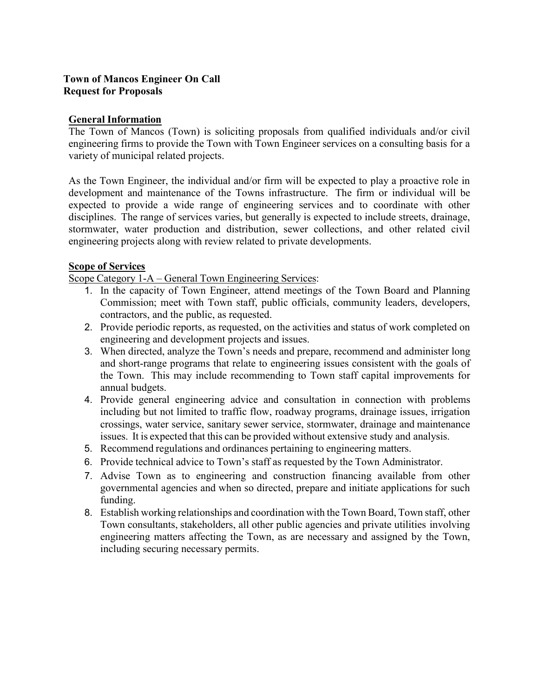# **Town of Mancos Engineer On Call Request for Proposals**

## **General Information**

The Town of Mancos (Town) is soliciting proposals from qualified individuals and/or civil engineering firms to provide the Town with Town Engineer services on a consulting basis for a variety of municipal related projects.

As the Town Engineer, the individual and/or firm will be expected to play a proactive role in development and maintenance of the Towns infrastructure. The firm or individual will be expected to provide a wide range of engineering services and to coordinate with other disciplines. The range of services varies, but generally is expected to include streets, drainage, stormwater, water production and distribution, sewer collections, and other related civil engineering projects along with review related to private developments.

# **Scope of Services**

Scope Category 1-A – General Town Engineering Services:

- 1. In the capacity of Town Engineer, attend meetings of the Town Board and Planning Commission; meet with Town staff, public officials, community leaders, developers, contractors, and the public, as requested.
- 2. Provide periodic reports, as requested, on the activities and status of work completed on engineering and development projects and issues.
- 3. When directed, analyze the Town's needs and prepare, recommend and administer long and short-range programs that relate to engineering issues consistent with the goals of the Town. This may include recommending to Town staff capital improvements for annual budgets.
- 4. Provide general engineering advice and consultation in connection with problems including but not limited to traffic flow, roadway programs, drainage issues, irrigation crossings, water service, sanitary sewer service, stormwater, drainage and maintenance issues. It is expected that this can be provided without extensive study and analysis.
- 5. Recommend regulations and ordinances pertaining to engineering matters.
- 6. Provide technical advice to Town's staff as requested by the Town Administrator.
- 7. Advise Town as to engineering and construction financing available from other governmental agencies and when so directed, prepare and initiate applications for such funding.
- 8. Establish working relationships and coordination with the Town Board, Town staff, other Town consultants, stakeholders, all other public agencies and private utilities involving engineering matters affecting the Town, as are necessary and assigned by the Town, including securing necessary permits.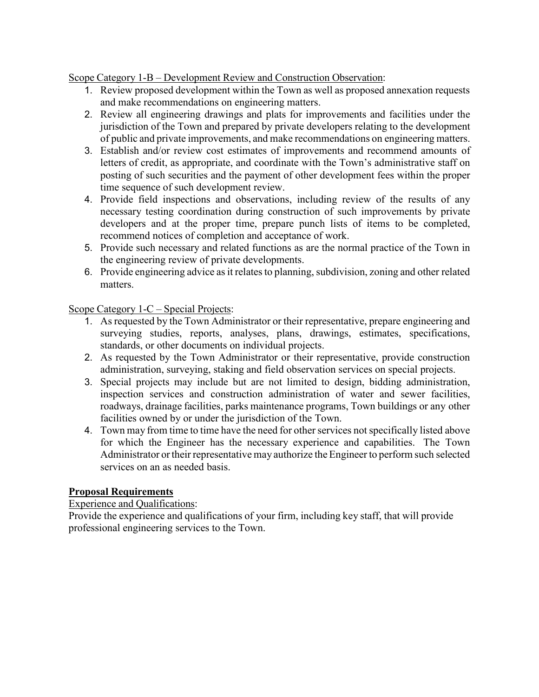Scope Category 1-B – Development Review and Construction Observation:

- 1. Review proposed development within the Town as well as proposed annexation requests and make recommendations on engineering matters.
- 2. Review all engineering drawings and plats for improvements and facilities under the jurisdiction of the Town and prepared by private developers relating to the development of public and private improvements, and make recommendations on engineering matters.
- 3. Establish and/or review cost estimates of improvements and recommend amounts of letters of credit, as appropriate, and coordinate with the Town's administrative staff on posting of such securities and the payment of other development fees within the proper time sequence of such development review.
- 4. Provide field inspections and observations, including review of the results of any necessary testing coordination during construction of such improvements by private developers and at the proper time, prepare punch lists of items to be completed, recommend notices of completion and acceptance of work.
- 5. Provide such necessary and related functions as are the normal practice of the Town in the engineering review of private developments.
- 6. Provide engineering advice as it relates to planning, subdivision, zoning and other related matters.

Scope Category 1-C – Special Projects:

- 1. As requested by the Town Administrator or their representative, prepare engineering and surveying studies, reports, analyses, plans, drawings, estimates, specifications, standards, or other documents on individual projects.
- 2. As requested by the Town Administrator or their representative, provide construction administration, surveying, staking and field observation services on special projects.
- 3. Special projects may include but are not limited to design, bidding administration, inspection services and construction administration of water and sewer facilities, roadways, drainage facilities, parks maintenance programs, Town buildings or any other facilities owned by or under the jurisdiction of the Town.
- 4. Town may from time to time have the need for other services not specifically listed above for which the Engineer has the necessary experience and capabilities. The Town Administrator or their representative may authorize the Engineer to perform such selected services on an as needed basis.

# **Proposal Requirements**

# Experience and Qualifications:

Provide the experience and qualifications of your firm, including key staff, that will provide professional engineering services to the Town.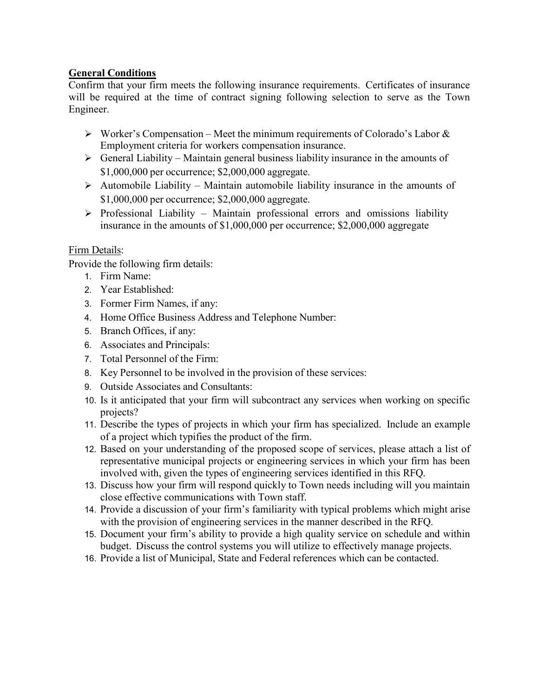# **General Conditions**

Confirm that your firm meets the following insurance requirements. Certificates of insurance will be required at the time of contract signing following selection to serve as the Town Engineer.

- $\triangleright$  Worker's Compensation Meet the minimum requirements of Colorado's Labor & Employment criteria for workers compensation insurance.
- $\triangleright$  General Liability Maintain general business liability insurance in the amounts of \$1,000,000 per occurrence; \$2,000,000 aggregate.
- $\triangleright$  Automobile Liability Maintain automobile liability insurance in the amounts of \$1,000,000 per occurrence; \$2,000,000 aggregate.
- $\triangleright$  Professional Liability Maintain professional errors and omissions liability insurance in the amounts of \$1,000,000 per occurrence; \$2,000,000 aggregate

# Firm Details:

Provide the following firm details:

- 1. Firm Name:
- 2. Year Established:
- 3. Former Firm Names, if any:
- 4. Home Office Business Address and Telephone Number:
- 5. Branch Offices, if any:
- 6. Associates and Principals:
- 7. Total Personnel of the Firm:
- 8. Key Personnel to be involved in the provision of these services:
- 9. Outside Associates and Consultants:
- 10. Is it anticipated that your firm will subcontract any services when working on specific projects?
- 11. Describe the types of projects in which your firm has specialized. Include an example of a project which typifies the product of the firm.
- 12. Based on your understanding of the proposed scope of services, please attach a list of representative municipal projects or engineering services in which your firm has been involved with, given the types of engineering services identified in this RFQ.
- 13. Discuss how your firm will respond quickly to Town needs including will you maintain close effective communications with Town staff.
- 14. Provide a discussion of your firm's familiarity with typical problems which might arise with the provision of engineering services in the manner described in the RFQ.
- 15. Document your firm's ability to provide a high quality service on schedule and within budget. Discuss the control systems you will utilize to effectively manage projects.
- 16. Provide a list of Municipal, State and Federal references which can be contacted.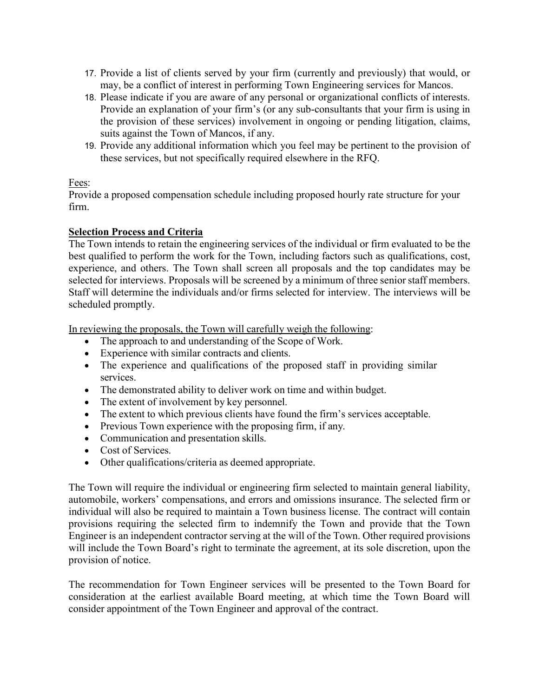- 17. Provide a list of clients served by your firm (currently and previously) that would, or may, be a conflict of interest in performing Town Engineering services for Mancos.
- 18. Please indicate if you are aware of any personal or organizational conflicts of interests. Provide an explanation of your firm's (or any sub-consultants that your firm is using in the provision of these services) involvement in ongoing or pending litigation, claims, suits against the Town of Mancos, if any.
- 19. Provide any additional information which you feel may be pertinent to the provision of these services, but not specifically required elsewhere in the RFQ.

# Fees:

Provide a proposed compensation schedule including proposed hourly rate structure for your firm.

# **Selection Process and Criteria**

The Town intends to retain the engineering services of the individual or firm evaluated to be the best qualified to perform the work for the Town, including factors such as qualifications, cost, experience, and others. The Town shall screen all proposals and the top candidates may be selected for interviews. Proposals will be screened by a minimum of three senior staff members. Staff will determine the individuals and/or firms selected for interview. The interviews will be scheduled promptly.

In reviewing the proposals, the Town will carefully weigh the following:

- The approach to and understanding of the Scope of Work.
- Experience with similar contracts and clients.
- The experience and qualifications of the proposed staff in providing similar services.
- The demonstrated ability to deliver work on time and within budget.
- The extent of involvement by key personnel.
- The extent to which previous clients have found the firm's services acceptable.
- Previous Town experience with the proposing firm, if any.
- Communication and presentation skills.
- Cost of Services.
- Other qualifications/criteria as deemed appropriate.

The Town will require the individual or engineering firm selected to maintain general liability, automobile, workers' compensations, and errors and omissions insurance. The selected firm or individual will also be required to maintain a Town business license. The contract will contain provisions requiring the selected firm to indemnify the Town and provide that the Town Engineer is an independent contractor serving at the will of the Town. Other required provisions will include the Town Board's right to terminate the agreement, at its sole discretion, upon the provision of notice.

The recommendation for Town Engineer services will be presented to the Town Board for consideration at the earliest available Board meeting, at which time the Town Board will consider appointment of the Town Engineer and approval of the contract.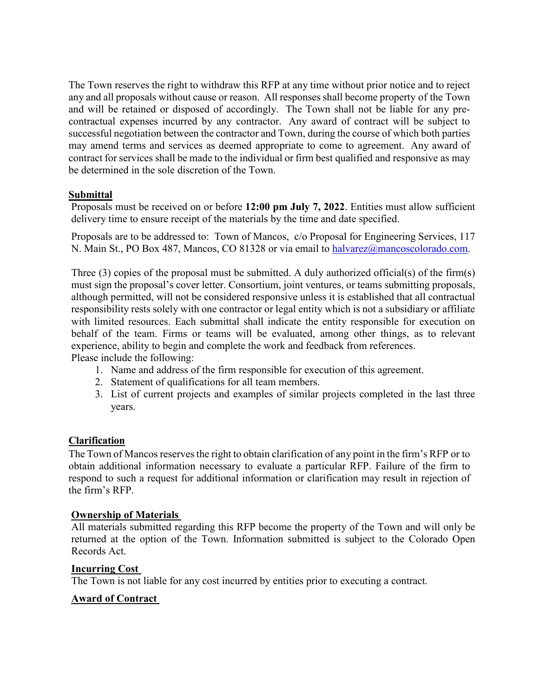The Town reserves the right to withdraw this RFP at any time without prior notice and to reject any and all proposals without cause or reason. All responses shall become property of the Town and will be retained or disposed of accordingly. The Town shall not be liable for any precontractual expenses incurred by any contractor. Any award of contract will be subject to successful negotiation between the contractor and Town, during the course of which both parties may amend terms and services as deemed appropriate to come to agreement. Any award of contract for services shall be made to the individual or firm best qualified and responsive as may be determined in the sole discretion of the Town.

## **Submittal**

Proposals must be received on or before **12:00 pm July 7, 2022**. Entities must allow sufficient delivery time to ensure receipt of the materials by the time and date specified.

Proposals are to be addressed to: Town of Mancos, c/o Proposal for Engineering Services, 117 N. Main St., PO Box 487, Mancos, CO 81328 or via email to [halvarez@mancoscolorado.com.](mailto:halvarez@mancoscolorado.com)

Three  $(3)$  copies of the proposal must be submitted. A duly authorized official(s) of the firm(s) must sign the proposal's cover letter. Consortium, joint ventures, or teams submitting proposals, although permitted, will not be considered responsive unless it is established that all contractual responsibility rests solely with one contractor or legal entity which is not a subsidiary or affiliate with limited resources. Each submittal shall indicate the entity responsible for execution on behalf of the team. Firms or teams will be evaluated, among other things, as to relevant experience, ability to begin and complete the work and feedback from references. Please include the following:

- 1. Name and address of the firm responsible for execution of this agreement.
- 2. Statement of qualifications for all team members.
- 3. List of current projects and examples of similar projects completed in the last three years.

### **Clarification**

The Town of Mancos reserves the right to obtain clarification of any point in the firm's RFP or to obtain additional information necessary to evaluate a particular RFP. Failure of the firm to respond to such a request for additional information or clarification may result in rejection of the firm's RFP.

### **Ownership of Materials**

All materials submitted regarding this RFP become the property of the Town and will only be returned at the option of the Town. Information submitted is subject to the Colorado Open Records Act.

### **Incurring Cost**

The Town is not liable for any cost incurred by entities prior to executing a contract.

### **Award of Contract**